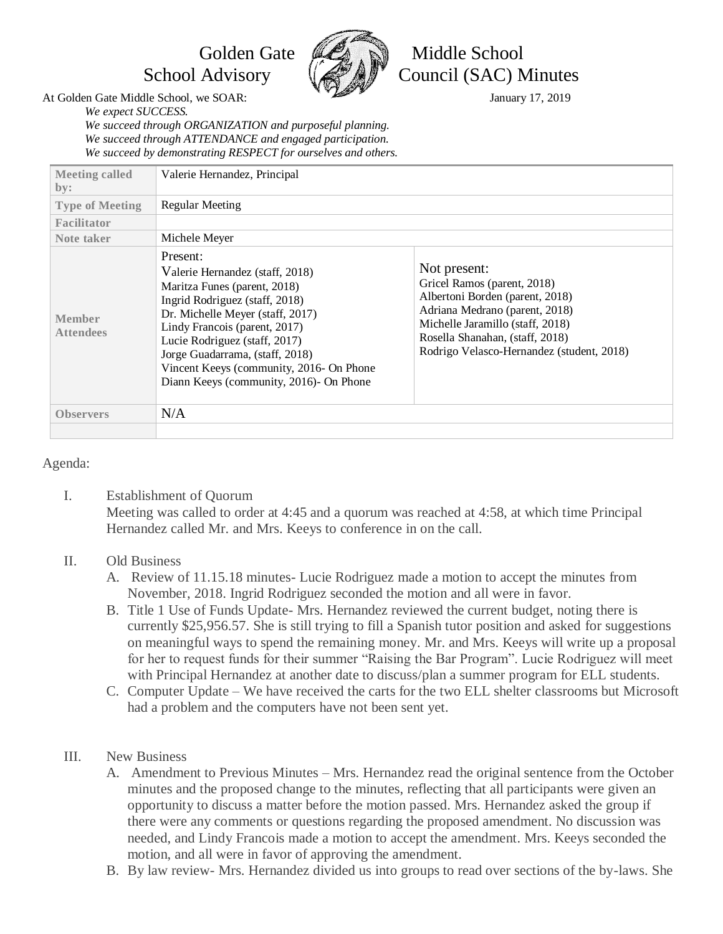

Golden Gate **MA** Niddle School School Advisory  $\left(\frac{1}{2} \frac{1}{2} \frac{1}{2} \right)^{3}$  Council (SAC) Minutes

At Golden Gate Middle School, we SOAR: January 17, 2019

*We expect SUCCESS. We succeed through ORGANIZATION and purposeful planning. We succeed through ATTENDANCE and engaged participation. We succeed by demonstrating RESPECT for ourselves and others.*

| <b>Meeting called</b><br>by:                        | Valerie Hernandez, Principal                                                                                                                                                                                                                                                                                                                  |                                                                                                                                                                                                                                      |
|-----------------------------------------------------|-----------------------------------------------------------------------------------------------------------------------------------------------------------------------------------------------------------------------------------------------------------------------------------------------------------------------------------------------|--------------------------------------------------------------------------------------------------------------------------------------------------------------------------------------------------------------------------------------|
| <b>Type of Meeting</b><br>Facilitator<br>Note taker | Regular Meeting<br>Michele Meyer                                                                                                                                                                                                                                                                                                              |                                                                                                                                                                                                                                      |
| <b>Member</b><br><b>Attendees</b>                   | Present:<br>Valerie Hernandez (staff, 2018)<br>Maritza Funes (parent, 2018)<br>Ingrid Rodriguez (staff, 2018)<br>Dr. Michelle Meyer (staff, 2017)<br>Lindy Francois (parent, 2017)<br>Lucie Rodriguez (staff, 2017)<br>Jorge Guadarrama, (staff, 2018)<br>Vincent Keeys (community, 2016- On Phone<br>Diann Keeys (community, 2016)- On Phone | Not present:<br>Gricel Ramos (parent, 2018)<br>Albertoni Borden (parent, 2018)<br>Adriana Medrano (parent, 2018)<br>Michelle Jaramillo (staff, 2018)<br>Rosella Shanahan, (staff, 2018)<br>Rodrigo Velasco-Hernandez (student, 2018) |
| <b>Observers</b>                                    | N/A                                                                                                                                                                                                                                                                                                                                           |                                                                                                                                                                                                                                      |

## Agenda:

I. Establishment of Quorum Meeting was called to order at 4:45 and a quorum was reached at 4:58, at which time Principal Hernandez called Mr. and Mrs. Keeys to conference in on the call.

## II. Old Business

- A. Review of 11.15.18 minutes- Lucie Rodriguez made a motion to accept the minutes from November, 2018. Ingrid Rodriguez seconded the motion and all were in favor.
- B. Title 1 Use of Funds Update- Mrs. Hernandez reviewed the current budget, noting there is currently \$25,956.57. She is still trying to fill a Spanish tutor position and asked for suggestions on meaningful ways to spend the remaining money. Mr. and Mrs. Keeys will write up a proposal for her to request funds for their summer "Raising the Bar Program". Lucie Rodriguez will meet with Principal Hernandez at another date to discuss/plan a summer program for ELL students.
- C. Computer Update We have received the carts for the two ELL shelter classrooms but Microsoft had a problem and the computers have not been sent yet.
- III. New Business
	- A. Amendment to Previous Minutes Mrs. Hernandez read the original sentence from the October minutes and the proposed change to the minutes, reflecting that all participants were given an opportunity to discuss a matter before the motion passed. Mrs. Hernandez asked the group if there were any comments or questions regarding the proposed amendment. No discussion was needed, and Lindy Francois made a motion to accept the amendment. Mrs. Keeys seconded the motion, and all were in favor of approving the amendment.
	- B. By law review- Mrs. Hernandez divided us into groups to read over sections of the by-laws. She